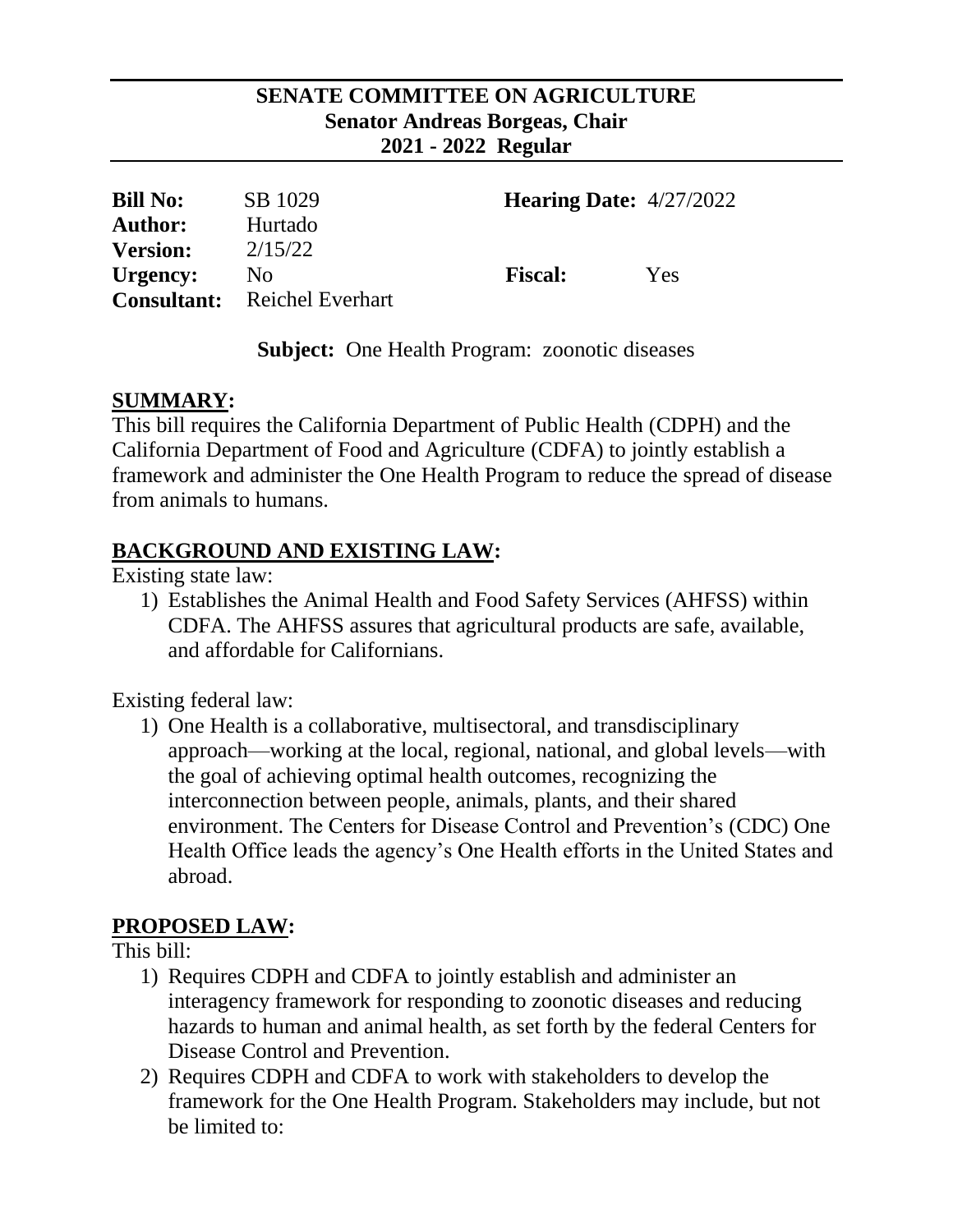#### **SENATE COMMITTEE ON AGRICULTURE Senator Andreas Borgeas, Chair 2021 - 2022 Regular**

| <b>Bill No:</b> | SB 1029                             | <b>Hearing Date:</b> $4/27/2022$ |     |
|-----------------|-------------------------------------|----------------------------------|-----|
| <b>Author:</b>  | Hurtado                             |                                  |     |
| <b>Version:</b> | 2/15/22                             |                                  |     |
| Urgency:        | No.                                 | <b>Fiscal:</b>                   | Yes |
|                 | <b>Consultant:</b> Reichel Everhart |                                  |     |

**Subject:** One Health Program: zoonotic diseases

### **SUMMARY:**

This bill requires the California Department of Public Health (CDPH) and the California Department of Food and Agriculture (CDFA) to jointly establish a framework and administer the One Health Program to reduce the spread of disease from animals to humans.

## **BACKGROUND AND EXISTING LAW:**

Existing state law:

1) Establishes the Animal Health and Food Safety Services (AHFSS) within CDFA. The AHFSS assures that agricultural products are safe, available, and affordable for Californians.

Existing federal law:

1) One Health is a collaborative, multisectoral, and transdisciplinary approach—working at the local, regional, national, and global levels—with the goal of achieving optimal health outcomes, recognizing the interconnection between people, animals, plants, and their shared environment. The Centers for Disease Control and Prevention's (CDC) One Health Office leads the agency's One Health efforts in the United States and abroad.

### **PROPOSED LAW:**

This bill:

- 1) Requires CDPH and CDFA to jointly establish and administer an interagency framework for responding to zoonotic diseases and reducing hazards to human and animal health, as set forth by the federal Centers for Disease Control and Prevention.
- 2) Requires CDPH and CDFA to work with stakeholders to develop the framework for the One Health Program. Stakeholders may include, but not be limited to: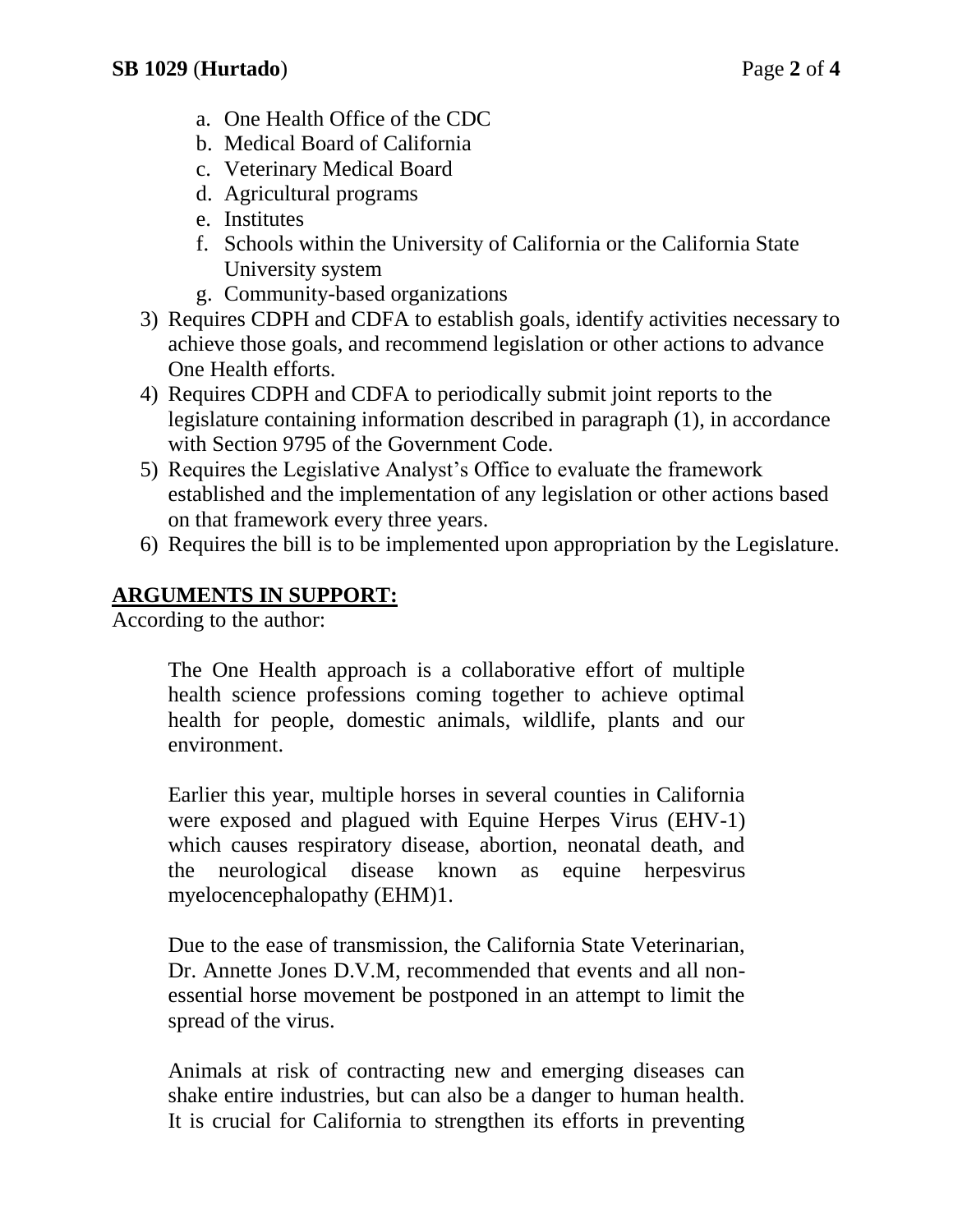- a. One Health Office of the CDC
- b. Medical Board of California
- c. Veterinary Medical Board
- d. Agricultural programs
- e. Institutes
- f. Schools within the University of California or the California State University system
- g. Community-based organizations
- 3) Requires CDPH and CDFA to establish goals, identify activities necessary to achieve those goals, and recommend legislation or other actions to advance One Health efforts.
- 4) Requires CDPH and CDFA to periodically submit joint reports to the legislature containing information described in paragraph (1), in accordance with Section 9795 of the Government Code.
- 5) Requires the Legislative Analyst's Office to evaluate the framework established and the implementation of any legislation or other actions based on that framework every three years.
- 6) Requires the bill is to be implemented upon appropriation by the Legislature.

# **ARGUMENTS IN SUPPORT:**

According to the author:

The One Health approach is a collaborative effort of multiple health science professions coming together to achieve optimal health for people, domestic animals, wildlife, plants and our environment.

Earlier this year, multiple horses in several counties in California were exposed and plagued with Equine Herpes Virus (EHV-1) which causes respiratory disease, abortion, neonatal death, and the neurological disease known as equine herpesvirus myelocencephalopathy (EHM)1.

Due to the ease of transmission, the California State Veterinarian, Dr. Annette Jones D.V.M, recommended that events and all nonessential horse movement be postponed in an attempt to limit the spread of the virus.

Animals at risk of contracting new and emerging diseases can shake entire industries, but can also be a danger to human health. It is crucial for California to strengthen its efforts in preventing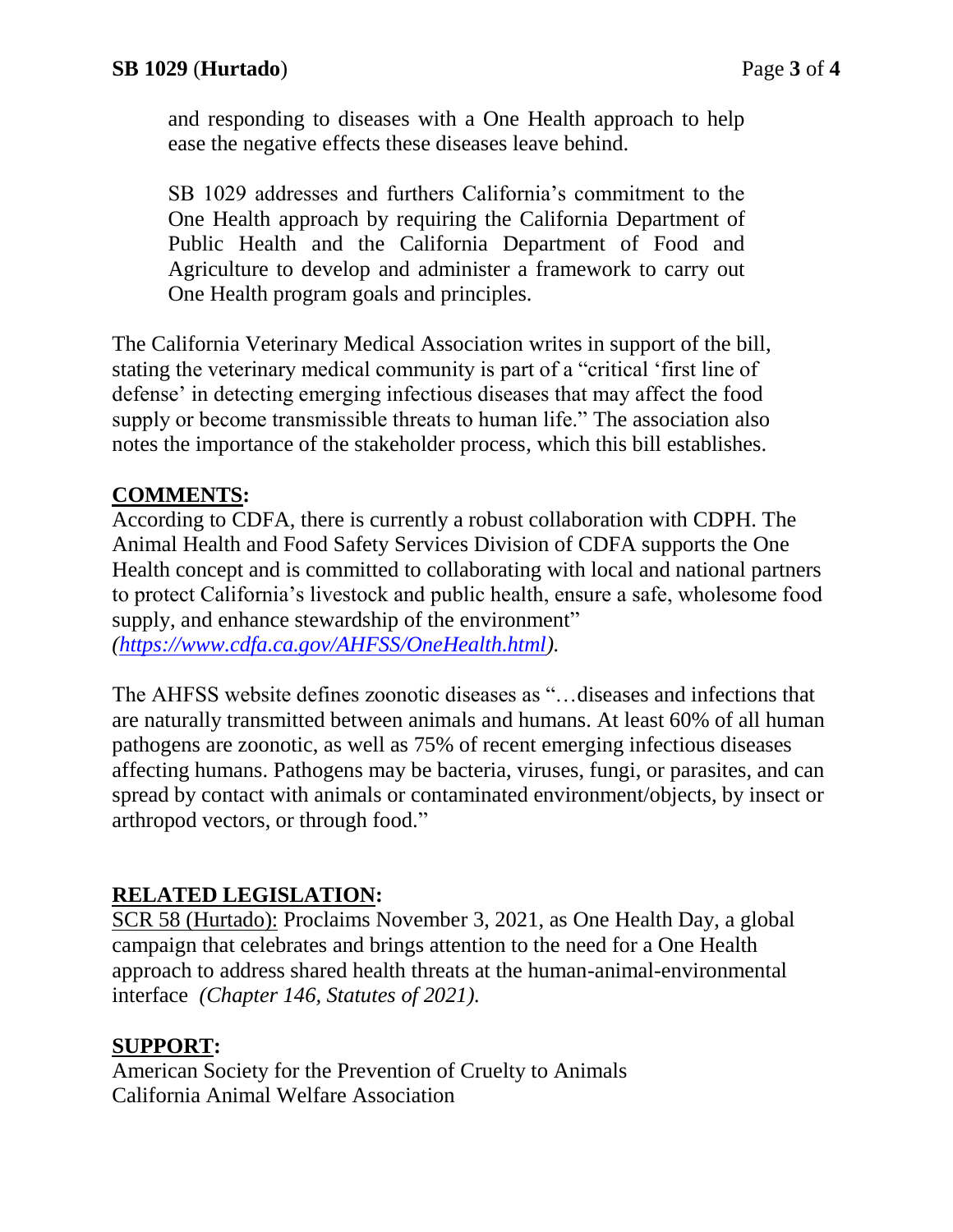and responding to diseases with a One Health approach to help ease the negative effects these diseases leave behind.

SB 1029 addresses and furthers California's commitment to the One Health approach by requiring the California Department of Public Health and the California Department of Food and Agriculture to develop and administer a framework to carry out One Health program goals and principles.

The California Veterinary Medical Association writes in support of the bill, stating the veterinary medical community is part of a "critical 'first line of defense' in detecting emerging infectious diseases that may affect the food supply or become transmissible threats to human life." The association also notes the importance of the stakeholder process, which this bill establishes.

## **COMMENTS:**

According to CDFA, there is currently a robust collaboration with CDPH. The Animal Health and Food Safety Services Division of CDFA supports the One Health concept and is committed to collaborating with local and national partners to protect California's livestock and public health, ensure a safe, wholesome food supply, and enhance stewardship of the environment" *[\(https://www.cdfa.ca.gov/AHFSS/OneHealth.html\)](https://www.cdfa.ca.gov/AHFSS/OneHealth.html).*

The AHFSS website defines zoonotic diseases as "…diseases and infections that are naturally transmitted between animals and humans. At least 60% of all human pathogens are zoonotic, as well as 75% of recent emerging infectious diseases affecting humans. Pathogens may be bacteria, viruses, fungi, or parasites, and can spread by contact with animals or contaminated environment/objects, by insect or arthropod vectors, or through food."

### **RELATED LEGISLATION:**

SCR 58 (Hurtado): Proclaims November 3, 2021, as One Health Day, a global campaign that celebrates and brings attention to the need for a One Health approach to address shared health threats at the human-animal-environmental interface *(Chapter 146, Statutes of 2021).*

### **SUPPORT:**

American Society for the Prevention of Cruelty to Animals California Animal Welfare Association